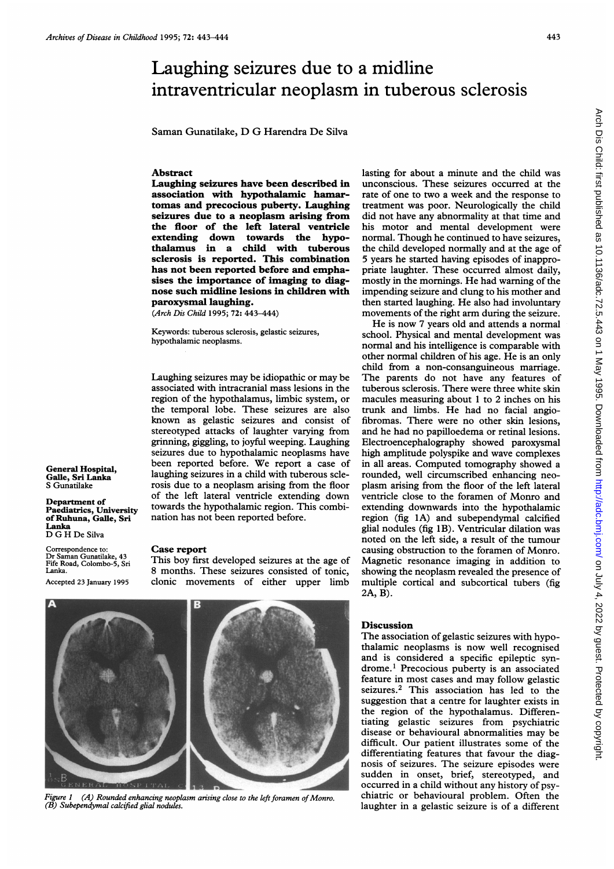## Laughing seizures due to a midline intraventricular neoplasm in tuberous sclerosis

Saman Gunatilake, D G Harendra De Silva

## Abstract

Laughing seizures have been described in association with hypothalamic hamartomas and precocious puberty. Laughing seizures due to a neoplasm arising from the floor of the left lateral ventricle extending down towards the hypothalamus in a child with tuberous sclerosis is reported. This combination has not been reported before and emphasises the importance of imaging to diagnose such midline lesions in children with paroxysmal laughing.

(Arch Dis Child 1995; 72: 443-444)

Keywords: tuberous sclerosis, gelastic seizures, hypothalamic neoplasms.

Laughing seizures may be idiopathic or may be associated with intracranial mass lesions in the region of the hypothalamus, limbic system, or the temporal lobe. These seizures are also known as gelastic seizures and consist of stereotyped attacks of laughter varying from grinning, giggling, to joyful weeping. Laughing seizures due to hypothalamic neoplasms have been reported before. We report <sup>a</sup> case of laughing seizures in a child with tuberous sclerosis due to a neoplasm arising from the floor of the left lateral ventricle extending down towards the hypothalamic region. This combination has not been reported before.

General Hospital, Galle, Sri Lanka S Gunatilake

Department of Paediatrics, University of Ruhuna, Galle, Sri Lanka D G H De Silva

Correspondence to: Baman Gunatilake, 43 Fife Road, Colombo-5, Sri Lanka.

Accepted 23 January 1995

## Case report

This boy first developed seizures at the age of 8 months. These seizures consisted of tonic, clonic movements of either upper limb



Figure  $1$  (A) Rounded enhancing neoplasm arising close to the left foramen of Monro. (B) Subependymal calcified glial nodules.

lasting for about a minute and the child was unconscious. These seizures occurred at the rate of one to two a week and the response to treatment was poor. Neurologically the child did not have any abnormality at that time and his motor and mental development were normal. Though he continued to have seizures, the child developed normally and at the age of 5 years he started having episodes of inappropriate laughter. These occurred almost daily, mostly in the mornings. He had warning of the impending seizure and clung to his mother and then started laughing. He also had involuntary movements of the right arm during the seizure.

He is now 7 years old and attends <sup>a</sup> normal school. Physical and mental development was normal and his intelligence is comparable with other normal children of his age. He is an only child from a non-consanguineous marriage. The parents do not have any features of tuberous sclerosis. There were three white skin macules measuring about <sup>1</sup> to 2 inches on his trunk and limbs. He had no facial angiofibromas. There were no other skin lesions, and he had no papilloedema or retinal lesions. Electroencephalography showed paroxysmal high amplitude polyspike and wave complexes in all areas. Computed tomography showed a rounded, well circumscribed enhancing neoplasm arising from the floor of the left lateral ventricle close to the foramen of Monro and extending downwards into the hypothalamic region (fig IA) and subependymal calcified glial nodules (fig 1B). Ventricular dilation was noted on the left side, a result of the tumour causing obstruction to the foramen of Monro. Magnetic resonance imaging in addition to showing the neoplasm revealed the presence of multiple cortical and subcortical tubers (fig 2A, B).

## **Discussion**

The association of gelastic seizures with hypothalamic neoplasms is now well recognised and is considered a specific epileptic syndrome.' Precocious puberty is an associated feature in most cases and may follow gelastic seizures.2 This association has led to the suggestion that a centre for laughter exists in the region of the hypothalamus. Differentiating gelastic seizures from psychiatric disease or behavioural abnormalities may be difficult. Our patient illustrates some of the differentiating features that favour the diagnosis of seizures. The seizure episodes were sudden in onset, brief, stereotyped, and occurred in a child without any history of psychiatric or behavioural problem. Often the laughter in a gelastic seizure is of a different